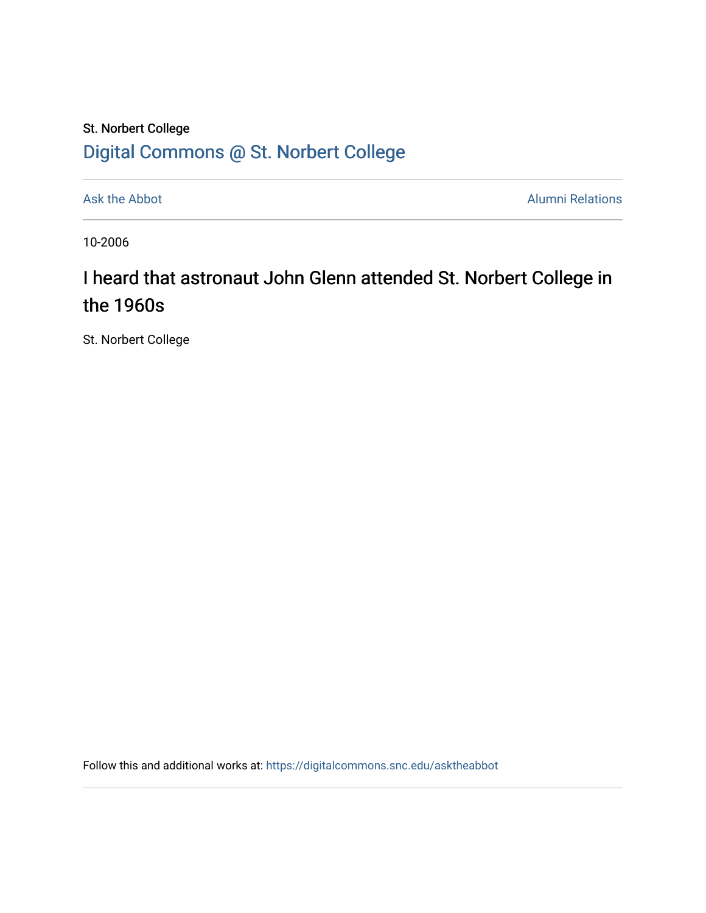## St. Norbert College [Digital Commons @ St. Norbert College](https://digitalcommons.snc.edu/)

[Ask the Abbot](https://digitalcommons.snc.edu/asktheabbot) **Alumni Relations** Alumni Relations

10-2006

## I heard that astronaut John Glenn attended St. Norbert College in the 1960s

St. Norbert College

Follow this and additional works at: [https://digitalcommons.snc.edu/asktheabbot](https://digitalcommons.snc.edu/asktheabbot?utm_source=digitalcommons.snc.edu%2Fasktheabbot%2F6&utm_medium=PDF&utm_campaign=PDFCoverPages)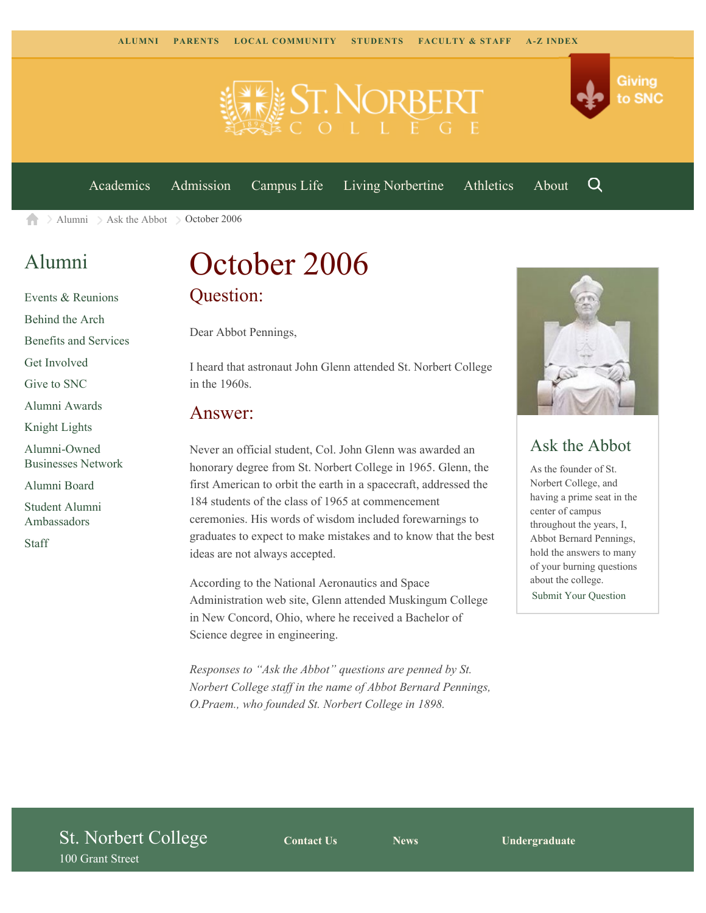



[Academics](https://www.snc.edu/academics) [Admission](https://www.snc.edu/admission) [Campus Life](https://www.snc.edu/campuslife) [Living Norbertine](https://www.snc.edu/livingnorbertine) [Athletics](https://www.snc.edu/athletics) [About](https://www.snc.edu/about)

Q

 $\geq$  [Alumni](https://www.snc.edu/alumni/)  $\geq$  [Ask the Abbot](https://www.snc.edu/alumni/abbot/)  $\geq$  October 2006  $\blacktriangle$ 

### [Alumni](https://www.snc.edu/alumni/index.html)

[Events & Reunions](https://www.snc.edu/alumni/event/index.html) [Behind the Arch](https://www.snc.edu/alumni/event/behindthearch/) [Benefits and Services](https://www.snc.edu/alumni/benefits.html) [Get Involved](https://www.snc.edu/alumni/getinvolved.html) [Give to SNC](http://giving.snc.edu/) [Alumni Awards](https://www.snc.edu/alumni/awards/index.html) [Knight Lights](https://www.snc.edu/alumni/knightlights/index.html) [Alumni-Owned](https://www.snc.edu/alumni/directory/index.html) [Businesses Network](https://www.snc.edu/alumni/directory/index.html) [Alumni Board](https://www.snc.edu/alumni/alumniboard.html) [Student Alumni](https://www.snc.edu/alumni/saa.html) [Ambassadors](https://www.snc.edu/alumni/saa.html) [Staff](https://www.snc.edu/alumni/contactus.html)

# October 2006 Question:

Dear Abbot Pennings,

I heard that astronaut John Glenn attended St. Norbert College in the 1960s.

#### Answer:

Never an official student, Col. John Glenn was awarded an honorary degree from St. Norbert College in 1965. Glenn, the first American to orbit the earth in a spacecraft, addressed the 184 students of the class of 1965 at commencement ceremonies. His words of wisdom included forewarnings to graduates to expect to make mistakes and to know that the best ideas are not always accepted.

According to the National Aeronautics and Space Administration web site, Glenn attended Muskingum College in New Concord, Ohio, where he received a Bachelor of Science degree in engineering.

*Responses to "Ask the Abbot" questions are penned by St. Norbert College staff in the name of Abbot Bernard Pennings, O.Praem., who founded St. Norbert College in 1898.*



### Ask the Abbot

As the founder of St. Norbert College, and having a prime seat in the center of campus throughout the years, I, Abbot Bernard Pennings, hold the answers to many of your burning questions about the college.

[Submit Your Question](https://www.snc.edu/alumni/abbot/index.html)

### St. Norbert College 100 Grant Street